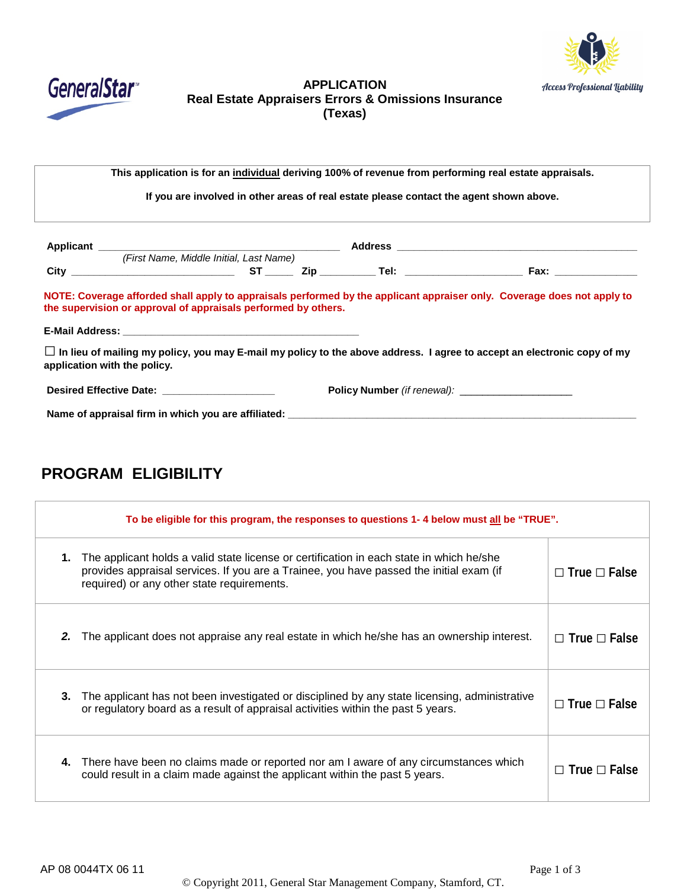



## **APPLICATION Real Estate Appraisers Errors & Omissions Insurance (Texas)**

**This application is for an individual deriving 100% of revenue from performing real estate appraisals.**

**If you are involved in other areas of real estate please contact the agent shown above.**

| Applicant                                                                                                                                                                                 | <u> 1980 - John Stein, Amerikaansk politiker († 1901)</u> |           |                                                                                                               | <b>Address</b> |                             |
|-------------------------------------------------------------------------------------------------------------------------------------------------------------------------------------------|-----------------------------------------------------------|-----------|---------------------------------------------------------------------------------------------------------------|----------------|-----------------------------|
|                                                                                                                                                                                           | (First Name, Middle Initial, Last Name)                   |           |                                                                                                               |                |                             |
|                                                                                                                                                                                           | <b>City City City</b>                                     | <b>ST</b> | Zip in the set of the set of the set of the set of the set of the set of the set of the set of the set of the |                | Fax: $\qquad \qquad \qquad$ |
| NOTE: Coverage afforded shall apply to appraisals performed by the applicant appraiser only. Coverage does not apply to<br>the supervision or approval of appraisals performed by others. |                                                           |           |                                                                                                               |                |                             |
|                                                                                                                                                                                           |                                                           |           |                                                                                                               |                |                             |

□**In lieu of mailing my policy, you may E-mail my policy to the above address. I agree to accept an electronic copy of my application with the policy.**

| <b>Desired Effective Date:</b> | <b>Policy Number</b> (if renewal): |
|--------------------------------|------------------------------------|
|                                |                                    |

**Name of appraisal firm in which you are affiliated: \_\_\_\_\_\_\_\_\_\_\_\_\_\_\_\_\_\_\_\_\_\_\_\_\_\_\_\_\_\_\_\_\_\_\_\_\_\_\_\_\_\_\_\_\_\_\_\_\_\_\_\_\_\_\_\_\_\_\_\_\_\_**

# **PROGRAM ELIGIBILITY**

|    | To be eligible for this program, the responses to questions 1-4 below must all be "TRUE".                                                                                                                                         |                          |  |  |
|----|-----------------------------------------------------------------------------------------------------------------------------------------------------------------------------------------------------------------------------------|--------------------------|--|--|
| 1. | The applicant holds a valid state license or certification in each state in which he/she<br>provides appraisal services. If you are a Trainee, you have passed the initial exam (if<br>required) or any other state requirements. | $\Box$ True $\Box$ False |  |  |
| 2. | The applicant does not appraise any real estate in which he/she has an ownership interest.                                                                                                                                        | $\Box$ True $\Box$ False |  |  |
| 3. | The applicant has not been investigated or disciplined by any state licensing, administrative<br>or regulatory board as a result of appraisal activities within the past 5 years.                                                 | $\Box$ True $\Box$ False |  |  |
| 4. | There have been no claims made or reported nor am I aware of any circumstances which<br>could result in a claim made against the applicant within the past 5 years.                                                               | $\Box$ True $\Box$ False |  |  |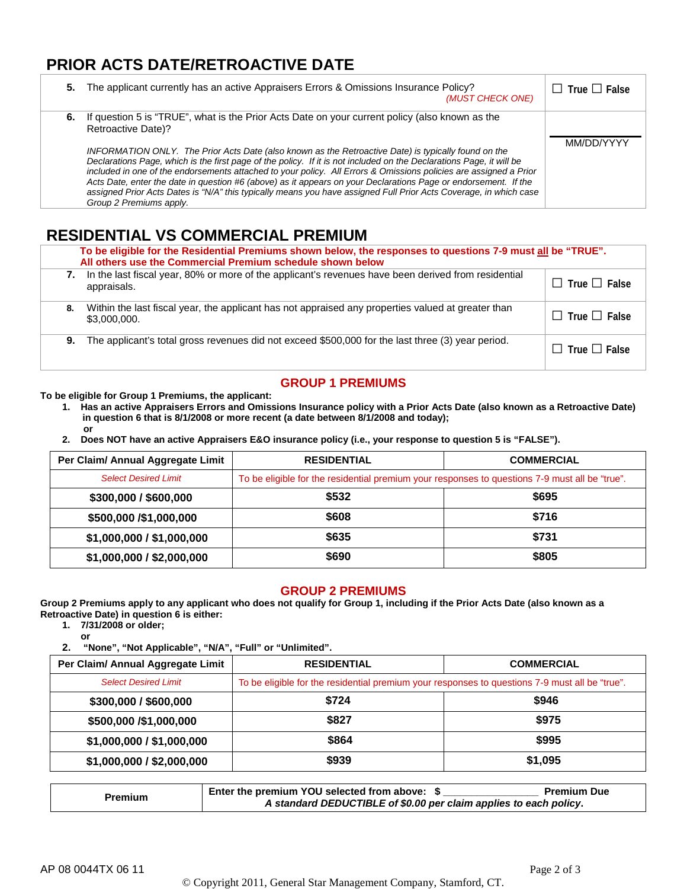## **PRIOR ACTS DATE/RETROACTIVE DATE**

| 5. | The applicant currently has an active Appraisers Errors & Omissions Insurance Policy?<br>(MUST CHECK ONE)                                                                                                                                                                                                                                                                                                                                                                                                                                                                                                                                                                                                                                    | $\Box$ True $\Box$ False |
|----|----------------------------------------------------------------------------------------------------------------------------------------------------------------------------------------------------------------------------------------------------------------------------------------------------------------------------------------------------------------------------------------------------------------------------------------------------------------------------------------------------------------------------------------------------------------------------------------------------------------------------------------------------------------------------------------------------------------------------------------------|--------------------------|
| 6. | If question 5 is "TRUE", what is the Prior Acts Date on your current policy (also known as the<br>Retroactive Date)?<br>INFORMATION ONLY. The Prior Acts Date (also known as the Retroactive Date) is typically found on the<br>Declarations Page, which is the first page of the policy. If it is not included on the Declarations Page, it will be<br>included in one of the endorsements attached to your policy. All Errors & Omissions policies are assigned a Prior<br>Acts Date, enter the date in question #6 (above) as it appears on your Declarations Page or endorsement. If the<br>assigned Prior Acts Dates is "N/A" this typically means you have assigned Full Prior Acts Coverage, in which case<br>Group 2 Premiums apply. | MM/DD/YYYY               |

## **RESIDENTIAL VS COMMERCIAL PREMIUM**

|    | To be eligible for the Residential Premiums shown below, the responses to questions 7-9 must all be "TRUE".<br>All others use the Commercial Premium schedule shown below |                          |  |  |
|----|---------------------------------------------------------------------------------------------------------------------------------------------------------------------------|--------------------------|--|--|
| 7. | In the last fiscal year, 80% or more of the applicant's revenues have been derived from residential<br>appraisals.                                                        | $\Box$ True $\Box$ False |  |  |
| 8. | Within the last fiscal year, the applicant has not appraised any properties valued at greater than<br>\$3,000,000.                                                        | $\Box$ True $\Box$ False |  |  |
| 9. | The applicant's total gross revenues did not exceed \$500,000 for the last three (3) year period.                                                                         | $\Box$ True $\Box$ False |  |  |

## **GROUP 1 PREMIUMS**

#### **To be eligible for Group 1 Premiums, the applicant:**

- **1. Has an active Appraisers Errors and Omissions Insurance policy with a Prior Acts Date (also known as a Retroactive Date) in question 6 that is 8/1/2008 or more recent (a date between 8/1/2008 and today); or**
- **2. Does NOT have an active Appraisers E&O insurance policy (i.e., your response to question 5 is "FALSE").**

| Per Claim/ Annual Aggregate Limit | <b>RESIDENTIAL</b>                                                                             | <b>COMMERCIAL</b> |
|-----------------------------------|------------------------------------------------------------------------------------------------|-------------------|
| <b>Select Desired Limit</b>       | To be eligible for the residential premium your responses to questions 7-9 must all be "true". |                   |
| \$300,000 / \$600,000             | \$532                                                                                          | \$695             |
| \$500,000 /\$1,000,000            | \$608                                                                                          | \$716             |
| \$1,000,000 / \$1,000,000         | \$635                                                                                          | \$731             |
| \$1,000,000 / \$2,000,000         | \$690                                                                                          | \$805             |

#### **GROUP 2 PREMIUMS**

**Group 2 Premiums apply to any applicant who does not qualify for Group 1, including if the Prior Acts Date (also known as a Retroactive Date) in question 6 is either:**

- **1. 7/31/2008 or older;**
	- **or**

**2. "None", "Not Applicable", "N/A", "Full" or "Unlimited".**

| Per Claim/ Annual Aggregate Limit | <b>RESIDENTIAL</b>                                                                             | <b>COMMERCIAL</b> |
|-----------------------------------|------------------------------------------------------------------------------------------------|-------------------|
| <b>Select Desired Limit</b>       | To be eligible for the residential premium your responses to questions 7-9 must all be "true". |                   |
| \$300,000 / \$600,000             | \$724                                                                                          | \$946             |
| \$500,000 /\$1,000,000            | \$827                                                                                          | \$975             |
| \$1,000,000 / \$1,000,000         | \$864                                                                                          | \$995             |
| \$1,000,000 / \$2,000,000         | \$939                                                                                          | \$1,095           |

|         | Enter the premium YOU selected from above: \$                     | <b>Premium Due</b> |  |
|---------|-------------------------------------------------------------------|--------------------|--|
| Premium | A standard DEDUCTIBLE of \$0.00 per claim applies to each policy. |                    |  |